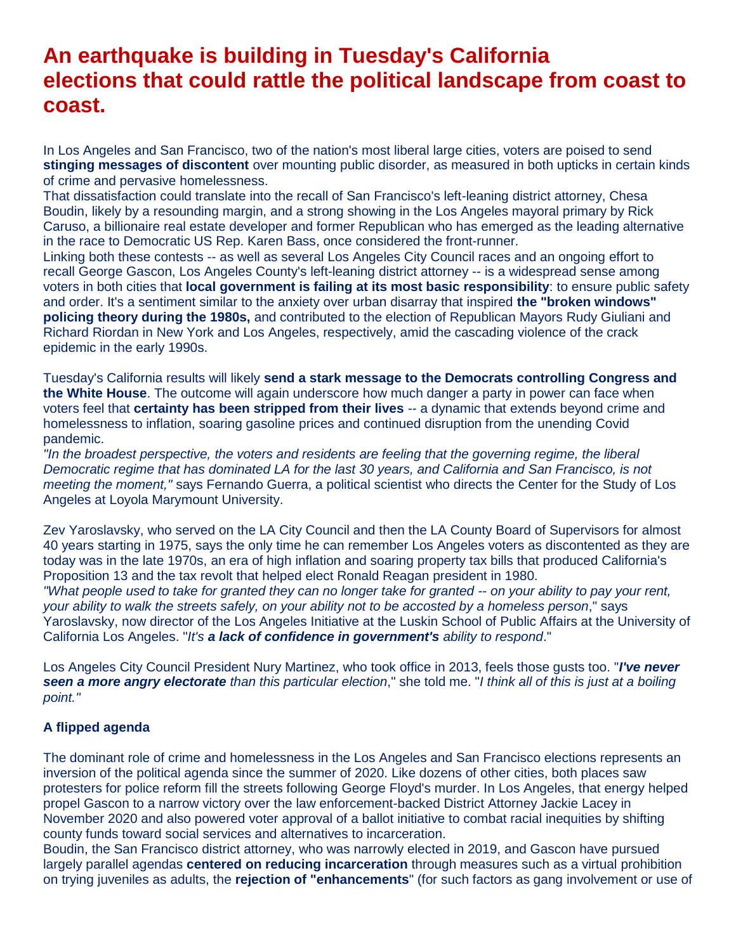## **An earthquake is building in [Tuesday's California](https://apple.news/AFWhk1SGlSFSMuaByeK1STg)  [elections](https://apple.news/AFWhk1SGlSFSMuaByeK1STg) that could rattle the political landscape from coast to coast.**

In Los Angeles and San Francisco, two of the nation's most liberal large cities, voters are poised to send **stinging messages of discontent** over mounting public disorder, as measured in both upticks in certain kinds of [crime and pervasive homelessness.](https://apple.news/AuJ3i4g7qQOGntEnmmLAhnA)

That dissatisfaction could translate into the recall of San Francisco's left-leaning district attorney, Chesa Boudin, likely by a resounding margin, and a strong showing in the Los Angeles mayoral primary by Rick Caruso, a billionaire real estate developer and former Republican who has emerged as the leading alternative in the race to [Democratic US Rep. Karen Bass,](https://apple.news/AJllYFZthQymbCn8WT6dl_A) once considered the front-runner.

Linking both these contests -- as well as several Los Angeles City Council races and an ongoing effort to recall [George Gascon,](https://apple.news/Ae_6GeDEyRx-NrXhA0_QxGw) Los Angeles County's left-leaning district attorney -- is a widespread sense among voters in both cities that **local government is failing at its most basic responsibility**: to ensure public safety and order. It's a sentiment similar to the anxiety over urban disarray that inspired **the ["broken windows"](https://apple.news/AI1Jo7N1BT1y9FS0V5DrDvw)  [policing theory](https://apple.news/AI1Jo7N1BT1y9FS0V5DrDvw) during the 1980s,** and contributed to the election of Republican Mayors [Rudy Giuliani](https://apple.news/A4aTVM-8QRe-A5FBNMfFSmA) and Richard Riordan in New York and Los Angeles, respectively, amid the cascading violence of the crack epidemic in the early 1990s.

Tuesday's California results will likely **send a stark message to the Democrats controlling Congress and the White House**. The outcome will again underscore how much danger a party in power can face when voters feel that **certainty has been stripped from their lives** -- a dynamic that extends beyond crime and homelessness to inflation, soaring gasoline prices and continued disruption from the unending Covid pandemic.

*"In the broadest perspective, the voters and residents are feeling that the governing regime, the liberal Democratic regime that has dominated LA for the last 30 years, and California and San Francisco, is not meeting the moment,"* says Fernando Guerra, a political scientist who directs the Center for the Study of Los Angeles at Loyola Marymount University.

Zev Yaroslavsky, who served on the LA City Council and then the LA County Board of Supervisors for almost 40 years starting in 1975, says the only time he can remember Los Angeles voters as discontented as they are today was in [the late 1970s,](https://www.cnn.com/videos/tv/2015/07/13/seventies-energy-crisis.cnn) an era of high inflation and soaring property tax bills that produced California's Proposition 13 and the tax revolt that helped elect [Ronald Reagan](https://www.cnn.com/2013/09/10/us/ronald-reagan-fast-facts/index.html) president in 1980.

*"What people used to take for granted they can no longer take for granted -- on your ability to pay your rent, your ability to walk the streets safely, on your ability not to be accosted by a homeless person*," says Yaroslavsky, now director of the Los Angeles Initiative at the Luskin School of Public Affairs at the University of California Los Angeles. "*It's a lack of confidence in government's ability to respond*."

Los Angeles City Council President Nury Martinez, who took office in 2013, feels those gusts too. "*I've never seen a more angry electorate than this particular election*," she told me. "*I think all of this is just at a boiling point."*

## **A flipped agenda**

The dominant role of crime and homelessness in the Los Angeles and San Francisco elections represents an inversion of the political agenda since the summer of 2020. Like dozens of other cities, both places saw protesters for [police reform](https://www.cnn.com/2015/04/05/us/controversial-police-encounters-fast-facts/index.html) fill the streets following [George Floyd's murder.](https://apple.news/A_bgV7G3JRkSvo7Kj-PflwA) In Los Angeles, that energy helped propel Gascon to a narrow victory over the law enforcement-backed District Attorney Jackie Lacey in November 2020 and also powered voter approval of a ballot initiative to combat racial inequities by shifting county funds toward social services and alternatives to incarceration.

Boudin, the San Francisco district attorney, who was narrowly elected in 2019, and Gascon have pursued largely parallel agendas **centered on reducing incarceration** through measures such as a virtual prohibition on trying juveniles as adults, the **rejection of "enhancements**" (for such factors as gang involvement or use of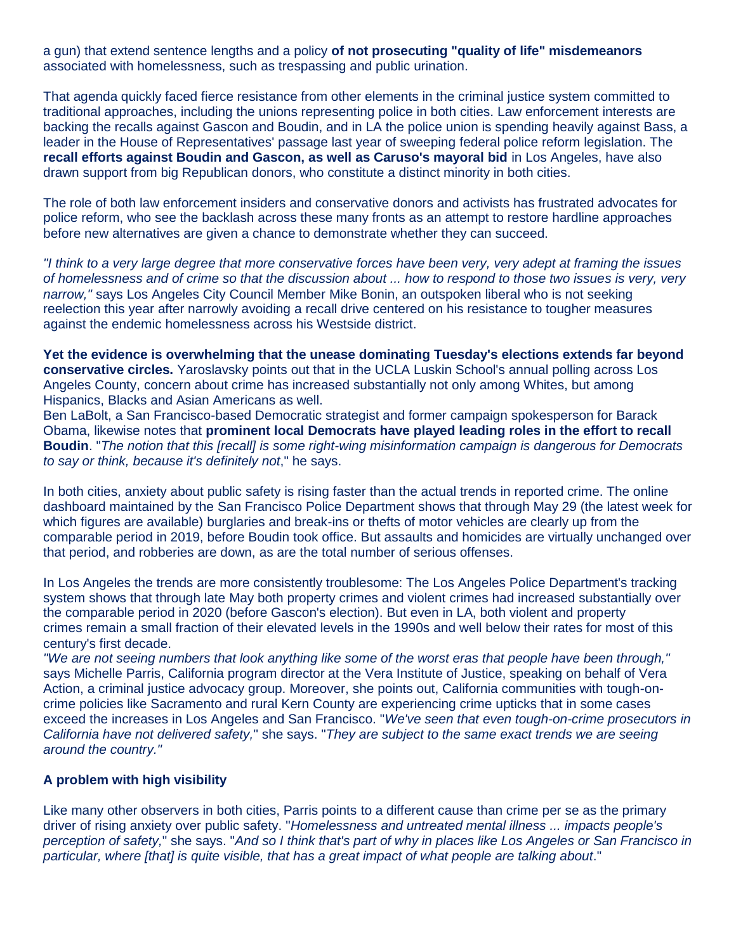a gun) that extend sentence lengths and a policy **of not prosecuting "quality of life" misdemeanors** associated with homelessness, such as trespassing and public urination.

That agenda quickly faced fierce resistance from other elements in the criminal justice system committed to traditional approaches, including the unions representing police in both cities. Law enforcement interests are backing the recalls against Gascon and Boudin, and in LA the police union is spending heavily against Bass, a leader in the House of Representatives' passage last year of sweeping [federal police reform](https://apple.news/A-PiMWKDVRgu2QWfEjF6D4Q) legislation. The **recall efforts against Boudin and Gascon, as well as Caruso's mayoral bid** in Los Angeles, have also drawn support from big Republican donors, who constitute a distinct minority in both cities.

The role of both law enforcement insiders and conservative donors and activists has frustrated advocates for police reform, who see the backlash across these many fronts as an attempt to restore hardline approaches before new alternatives are given a chance to demonstrate whether they can succeed.

*"I think to a very large degree that more conservative forces have been very, very adept at framing the issues of homelessness and of crime so that the discussion about ... how to respond to those two issues is very, very narrow,"* says Los Angeles City Council Member Mike Bonin, an outspoken liberal who is not seeking reelection this year after narrowly avoiding a recall drive centered on his resistance to tougher measures against the endemic homelessness across his Westside district.

**Yet the evidence is overwhelming that the unease dominating Tuesday's elections extends far beyond conservative circles.** Yaroslavsky points out that in the UCLA Luskin School's annual polling across Los Angeles County, concern about crime has increased substantially not only among Whites, but among Hispanics, Blacks and Asian Americans as well.

Ben LaBolt, a San Francisco-based Democratic strategist and former campaign spokesperson for Barack Obama, likewise notes that **prominent local Democrats have played leading roles in the effort to recall Boudin**. "*The notion that this [recall] is some right-wing misinformation campaign is dangerous for Democrats to say or think, because it's definitely not*," he says.

In both cities, anxiety about public safety is rising faster than the actual trends in reported crime. The online dashboard maintained by the [San Francisco Police Department](https://www.sanfranciscopolice.org/stay-safe/crime-data/crime-dashboard) shows that through May 29 (the latest week for which figures are available) burglaries and break-ins or thefts of motor vehicles are clearly up from the comparable period in 2019, before Boudin took office. But assaults and homicides are virtually unchanged over that period, and robberies are down, as are the total number of serious offenses.

In Los Angeles the trends are more consistently troublesome: The [Los Angeles Police Department's tracking](https://lapdonlinestrgeacc.blob.core.usgovcloudapi.net/lapdonlinemedia/2022/06/cityprof.pdf)  [system](https://lapdonlinestrgeacc.blob.core.usgovcloudapi.net/lapdonlinemedia/2022/06/cityprof.pdf) shows that through late May both property crimes and violent crimes had increased substantially over the comparable period in 2020 (before Gascon's election). But even in LA, both violent and property crimes [remain a small fraction of their elevated levels in the 1990s](https://lapdonlinestrgeacc.blob.core.usgovcloudapi.net/lapdonlinemedia/2022/01/2021_crime_initiatives.pdf) and well below their rates for most of this century's first decade.

*"We are not seeing numbers that look anything like some of the worst eras that people have been through,"* says Michelle Parris, California program director at the Vera Institute of Justice, speaking on behalf of Vera Action, a criminal justice advocacy group. Moreover, she points out, California communities with tough-oncrime policies like Sacramento and rural Kern County are experiencing crime upticks that in some cases exceed the increases in Los Angeles and San Francisco. "*We've seen that even tough-on-crime prosecutors in California have not delivered safety,*" she says. "*They are subject to the same exact trends we are seeing around the country."*

## **A problem with high visibility**

Like many other observers in both cities, Parris points to a different cause than crime per se as the primary driver of rising anxiety over public safety. "*Homelessness and untreated mental illness ... impacts people's perception of safety,*" she says. "*And so I think that's part of why in places like Los Angeles or San Francisco in particular, where [that] is quite visible, that has a great impact of what people are talking about*."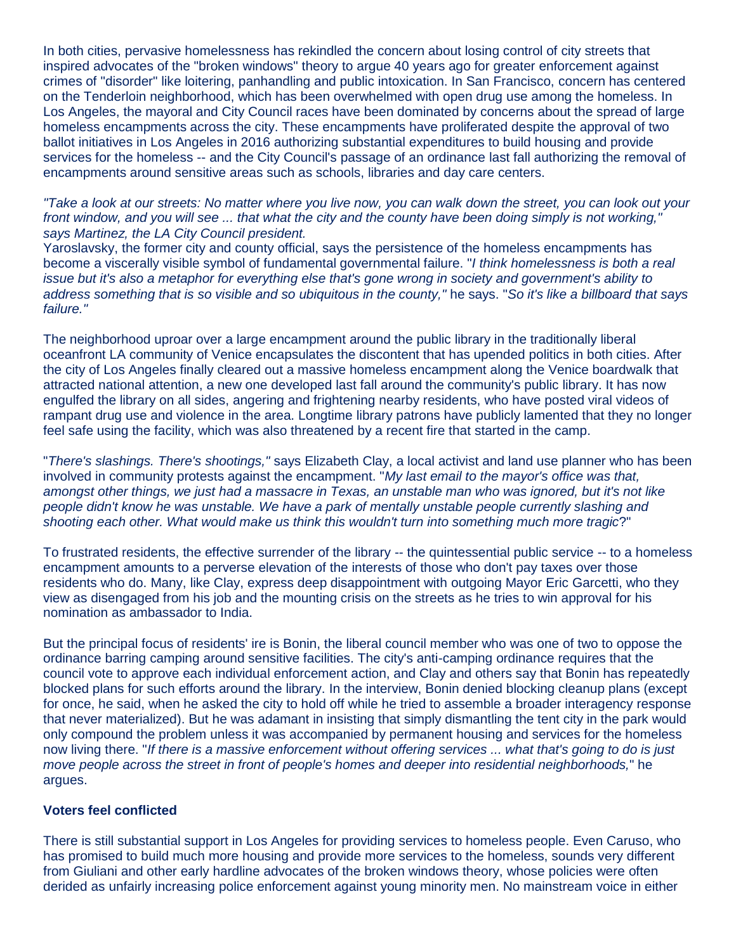In both cities, pervasive homelessness has rekindled the concern about losing control of city streets that inspired advocates of the "broken windows" theory to argue 40 years ago for greater enforcement against crimes of "disorder" like loitering, panhandling and public intoxication. In San Francisco, [concern has centered](https://apple.news/AbQjxSFh9T7Khl37eXIi3UA)  [on the Tenderloin neighborhood,](https://apple.news/AbQjxSFh9T7Khl37eXIi3UA) which has been overwhelmed with open drug use among the homeless. In Los Angeles, the mayoral and City Council races have been dominated by concerns about the spread of large homeless encampments across the city. These encampments have proliferated despite the approval of two ballot initiatives in Los Angeles in 2016 authorizing substantial expenditures to build housing and provide services for the homeless -- and [the City Council's passage of an ordinance](https://apple.news/Pwg3GInRgH2W-kR5OD_DYIl) last fall authorizing the removal of encampments around sensitive areas such as schools, libraries and day care centers.

*"Take a look at our streets: No matter where you live now, you can walk down the street, you can look out your front window, and you will see ... that what the city and the county have been doing simply is not working," says Martinez, the LA City Council president.*

Yaroslavsky, the former city and county official, says the persistence of the homeless encampments has become a viscerally visible symbol of fundamental governmental failure. "*I think homelessness is both a real issue but it's also a metaphor for everything else that's gone wrong in society and government's ability to address something that is so visible and so ubiquitous in the county,"* he says. "*So it's like a billboard that says failure."*

The neighborhood uproar over a large encampment around the public library in the traditionally liberal oceanfront LA community of Venice encapsulates the discontent that has upended politics in both cities. After the city of Los Angeles finally cleared out a massive homeless encampment along the Venice boardwalk that attracted national attention, a new one developed last fall around the community's public library. It has now engulfed the library on all sides, angering and frightening nearby residents, who have [posted viral videos](https://twitter.com/VeniceWasteland/status/1525844214268907520?s=20&t=MooixodPIa-ZBwAeTnTgXw) of rampant drug use and violence in the area. Longtime [library patrons have publicly lamented](https://twitter.com/WestsideCurrent/status/1532721156452540416?s=20&t=MooixodPIa-ZBwAeTnTgXw) that they no longer feel safe using the facility, which was also threatened by a recent fire that started in the camp.

"*There's slashings. There's shootings,"* says Elizabeth Clay, a local activist and land use planner who has been involved in community protests against the encampment. "*My last email to the mayor's office was that, amongst other things, we just had a massacre in Texas, an unstable man who was ignored, but it's not like people didn't know he was unstable. We have a park of mentally unstable people currently slashing and shooting each other. What would make us think this wouldn't turn into something much more tragic*?"

To frustrated residents, the effective surrender of the library -- the quintessential public service -- to a homeless encampment amounts to a perverse elevation of the interests of those who don't pay taxes over those residents who do. Many, like Clay, express deep disappointment with [outgoing Mayor Eric Garcetti,](https://apple.news/AOosR39hoQMq2G9Jb4Pqviw) who they view as disengaged from his job and the mounting crisis on the streets as he tries to win approval for his nomination as ambassador to India.

But the principal focus of residents' ire is Bonin, the liberal council member who was one of two to oppose the ordinance barring camping around sensitive facilities. The city's anti-camping ordinance requires that the council vote to approve each individual enforcement action, and Clay and others say that Bonin has repeatedly blocked plans for such efforts around the library. In the interview, Bonin denied blocking cleanup plans (except for once, he said, when he asked the city to hold off while he tried to assemble a broader interagency response that never materialized). But he was adamant in insisting that simply dismantling the tent city in the park would only compound the problem unless it was accompanied by permanent housing and services for the homeless now living there. "*If there is a massive enforcement without offering services ... what that's going to do is just move people across the street in front of people's homes and deeper into residential neighborhoods,*" he argues.

## **Voters feel conflicted**

There is still substantial support in Los Angeles for providing services to homeless people. Even Caruso, who has promised to build much more housing and provide more services to the homeless, sounds very different from Giuliani and other early hardline advocates of the broken windows theory, whose policies were often derided as unfairly increasing police enforcement against young minority men. No mainstream voice in either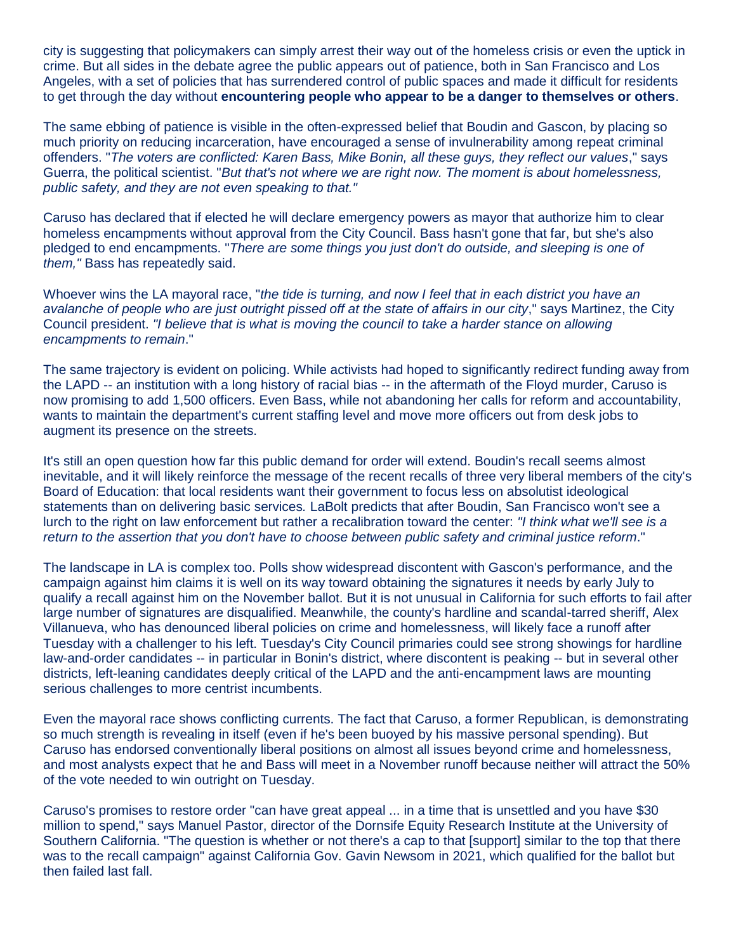city is suggesting that policymakers can simply arrest their way out of the homeless crisis or even the uptick in crime. But all sides in the debate agree the public appears out of patience, both in San Francisco and Los Angeles, with a set of policies that has surrendered control of public spaces and made it difficult for residents to get through the day without **encountering people who appear to be a danger to themselves or others**.

The same ebbing of patience is visible in the often-expressed belief that Boudin and Gascon, by placing so much priority on reducing incarceration, have encouraged a sense of invulnerability among repeat criminal offenders. "*The voters are conflicted: Karen Bass, Mike Bonin, all these guys, they reflect our values*," says Guerra, the political scientist. "*But that's not where we are right now. The moment is about homelessness, public safety, and they are not even speaking to that."*

Caruso has declared that if elected he will declare emergency powers as mayor that authorize him to clear homeless encampments without approval from the City Council. Bass hasn't gone that far, but she's also pledged to end encampments. "*There are some things you just don't do outside, and sleeping is one of them,"* [Bass has repeatedly said.](https://laist.com/news/politics/2022-election-california-primary-los-angeles-mayor-karen-bass-q-and-a)

Whoever wins the LA mayoral race, "*the tide is turning, and now I feel that in each district you have an avalanche of people who are just outright pissed off at the state of affairs in our city*," says Martinez, the City Council president. *"I believe that is what is moving the council to take a harder stance on allowing encampments to remain*."

The same trajectory is evident on policing. While activists had hoped to significantly redirect funding away from the LAPD -- an institution with a long history of racial bias -- in the aftermath of the Floyd murder, Caruso is now promising to add 1,500 officers. Even Bass, while not abandoning her calls for reform and accountability, wants to maintain the department's current staffing level and move more officers out from desk jobs to augment its presence on the streets.

It's still an open question how far this public demand for order will extend. Boudin's recall seems almost inevitable, and it will likely reinforce the message of the recent [recalls of three very liberal members of the city's](https://apple.news/AIOhU2fspRyO3NrHBQRUUOw)  [Board of Education:](https://apple.news/AIOhU2fspRyO3NrHBQRUUOw) that local residents want their government to focus less on absolutist ideological statements than on delivering basic services*.* LaBolt predicts that after Boudin, San Francisco won't see a lurch to the right on law enforcement but rather a recalibration toward the center: *"I think what we'll see is a return to the assertion that you don't have to choose between public safety and criminal justice reform*."

The landscape in LA is complex too. Polls show widespread discontent with Gascon's performance, and the campaign against him claims it is well on its way toward obtaining the signatures it needs by early July to qualify a recall against him on the November ballot. But it is not unusual in California for such efforts to fail after large number of signatures are disqualified. Meanwhile, the county's hardline and scandal-tarred sheriff, Alex Villanueva, who has denounced liberal policies on crime and homelessness, will likely face a runoff after Tuesday with a challenger to his left. Tuesday's City Council primaries could see strong showings for hardline law-and-order candidates -- in particular in Bonin's district, where discontent is peaking -- but in several other districts, left-leaning candidates deeply critical of the LAPD and the anti-encampment laws are mounting serious challenges to more centrist incumbents.

Even the mayoral race shows conflicting currents. The fact that Caruso, a former Republican, is demonstrating so much strength is revealing in itself (even if he's been buoyed by his massive personal spending). But Caruso has endorsed conventionally liberal positions on almost all issues beyond crime and homelessness, and most analysts expect that he and Bass will meet in a November runoff because neither will attract the 50% of the vote needed to win outright on Tuesday.

Caruso's promises to restore order "can have great appeal ... in a time that is unsettled and you have \$30 million to spend," says Manuel Pastor, director of the Dornsife Equity Research Institute at the University of Southern California. "The question is whether or not there's a cap to that [support] similar to the top that there was to the recall campaign" against California Gov. Gavin Newsom in 2021, which qualified for the ballot but then failed last fall.